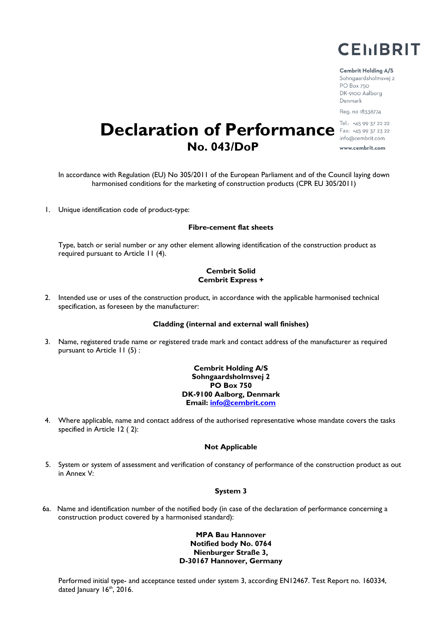

#### **Cembrit Holding A/S**

Sohngaardsholmsvej 2 PO Box 750 DK-9100 Aalborg Denmark Reg. no 18336774

Tel.: +45 99 37 22 22 **Declaration of Performance** Fax: +45 99 37 22 22 info@cembrit.com **No. 043/DoP** www.cembrit.com

In accordance with Regulation (EU) No 305/2011 of the European Parliament and of the Council laying down harmonised conditions for the marketing of construction products (CPR EU 305/2011)

1. Unique identification code of product-type:

# **Fibre-cement flat sheets**

Type, batch or serial number or any other element allowing identification of the construction product as required pursuant to Article 11 (4).

# **Cembrit Solid Cembrit Express +**

2. Intended use or uses of the construction product, in accordance with the applicable harmonised technical specification, as foreseen by the manufacturer:

#### **Cladding (internal and external wall finishes)**

3. Name, registered trade name or registered trade mark and contact address of the manufacturer as required pursuant to Article 11 (5) :

> **Cembrit Holding A/S Sohngaardsholmsvej 2 PO Box 750 DK-9100 Aalborg, Denmark Email: [info@cembrit.com](mailto:info@cembrit.com)**

4. Where applicable, name and contact address of the authorised representative whose mandate covers the tasks specified in Article 12 ( 2):

#### **Not Applicable**

5. System or system of assessment and verification of constancy of performance of the construction product as out in Annex V:

# **System 3**

6a. Name and identification number of the notified body (in case of the declaration of performance concerning a construction product covered by a harmonised standard):

# **MPA Bau Hannover Notified body No. 0764 Nienburger Straße 3, D-30167 Hannover, Germany**

Performed initial type- and acceptance tested under system 3, according EN12467. Test Report no. 160334, dated January 16<sup>th</sup>, 2016.